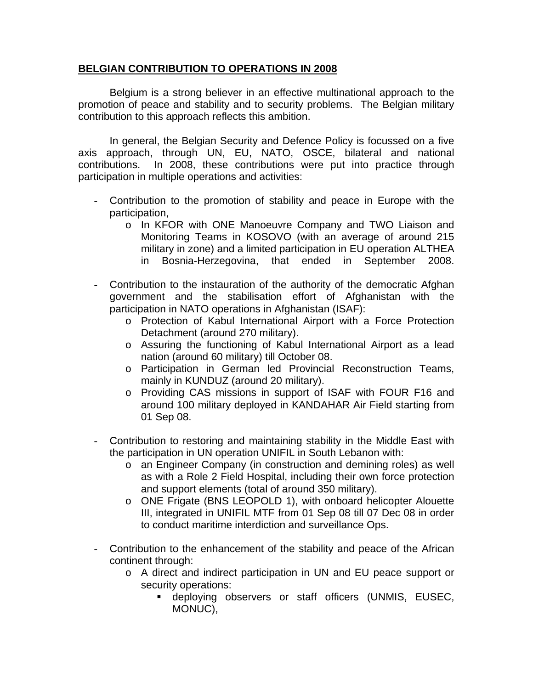## **BELGIAN CONTRIBUTION TO OPERATIONS IN 2008**

 Belgium is a strong believer in an effective multinational approach to the promotion of peace and stability and to security problems. The Belgian military contribution to this approach reflects this ambition.

 In general, the Belgian Security and Defence Policy is focussed on a five axis approach, through UN, EU, NATO, OSCE, bilateral and national contributions. In 2008, these contributions were put into practice through participation in multiple operations and activities:

- Contribution to the promotion of stability and peace in Europe with the participation,
	- o In KFOR with ONE Manoeuvre Company and TWO Liaison and Monitoring Teams in KOSOVO (with an average of around 215 military in zone) and a limited participation in EU operation ALTHEA in Bosnia-Herzegovina, that ended in September 2008.
- Contribution to the instauration of the authority of the democratic Afghan government and the stabilisation effort of Afghanistan with the participation in NATO operations in Afghanistan (ISAF):
	- o Protection of Kabul International Airport with a Force Protection Detachment (around 270 military).
	- o Assuring the functioning of Kabul International Airport as a lead nation (around 60 military) till October 08.
	- o Participation in German led Provincial Reconstruction Teams, mainly in KUNDUZ (around 20 military).
	- o Providing CAS missions in support of ISAF with FOUR F16 and around 100 military deployed in KANDAHAR Air Field starting from 01 Sep 08.
- Contribution to restoring and maintaining stability in the Middle East with the participation in UN operation UNIFIL in South Lebanon with:
	- o an Engineer Company (in construction and demining roles) as well as with a Role 2 Field Hospital, including their own force protection and support elements (total of around 350 military).
	- o ONE Frigate (BNS LEOPOLD 1), with onboard helicopter Alouette III, integrated in UNIFIL MTF from 01 Sep 08 till 07 Dec 08 in order to conduct maritime interdiction and surveillance Ops.
- Contribution to the enhancement of the stability and peace of the African continent through:
	- o A direct and indirect participation in UN and EU peace support or security operations:
		- **deploying observers or staff officers (UNMIS, EUSEC,** MONUC),